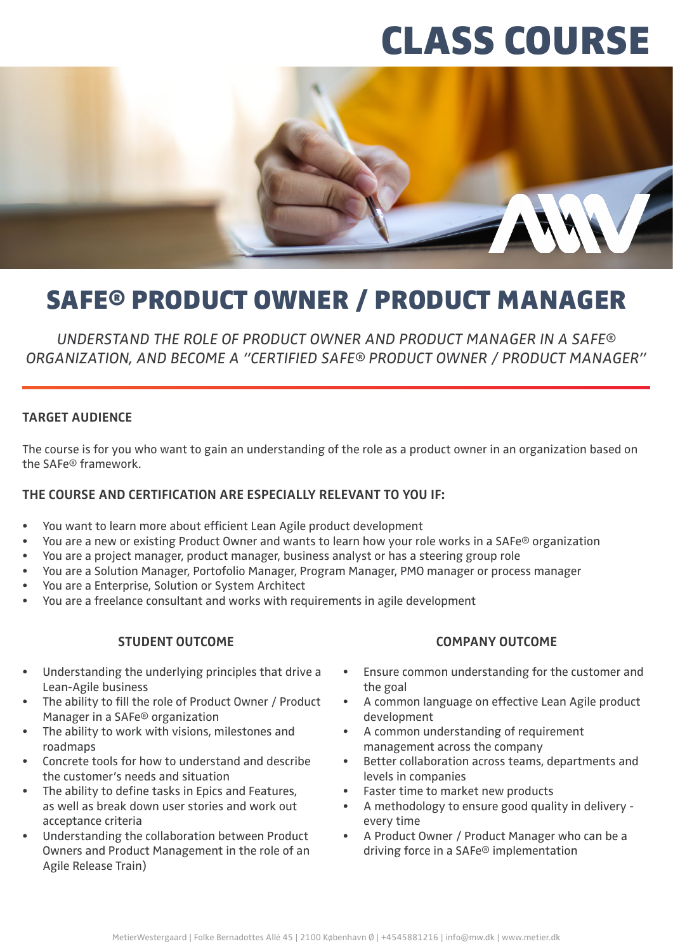# CLASS COURSE



# SAFE® PRODUCT OWNER / PRODUCT MANAGER

*UNDERSTAND THE ROLE OF PRODUCT OWNER AND PRODUCT MANAGER IN A SAFE® ORGANIZATION, AND BECOME A "CERTIFIED SAFE® PRODUCT OWNER / PRODUCT MANAGER"*

### **TARGET AUDIENCE**

The course is for you who want to gain an understanding of the role as a product owner in an organization based on the SAFe® framework.

# **THE COURSE AND CERTIFICATION ARE ESPECIALLY RELEVANT TO YOU IF:**

- You want to learn more about efficient Lean Agile product development
- You are a new or existing Product Owner and wants to learn how your role works in a SAFe® organization
- You are a project manager, product manager, business analyst or has a steering group role
- You are a Solution Manager, Portofolio Manager, Program Manager, PMO manager or process manager
- You are a Enterprise, Solution or System Architect
- You are a freelance consultant and works with requirements in agile development

#### **STUDENT OUTCOME**

- Understanding the underlying principles that drive a Lean-Agile business
- The ability to fill the role of Product Owner / Product Manager in a SAFe® organization
- The ability to work with visions, milestones and roadmaps
- Concrete tools for how to understand and describe the customer's needs and situation
- The ability to define tasks in Epics and Features, as well as break down user stories and work out acceptance criteria
- Understanding the collaboration between Product Owners and Product Management in the role of an Agile Release Train)

#### **COMPANY OUTCOME**

- Ensure common understanding for the customer and the goal
- A common language on effective Lean Agile product development
- A common understanding of requirement management across the company
- Better collaboration across teams, departments and levels in companies
- Faster time to market new products
- A methodology to ensure good quality in delivery every time
- A Product Owner / Product Manager who can be a driving force in a SAFe® implementation